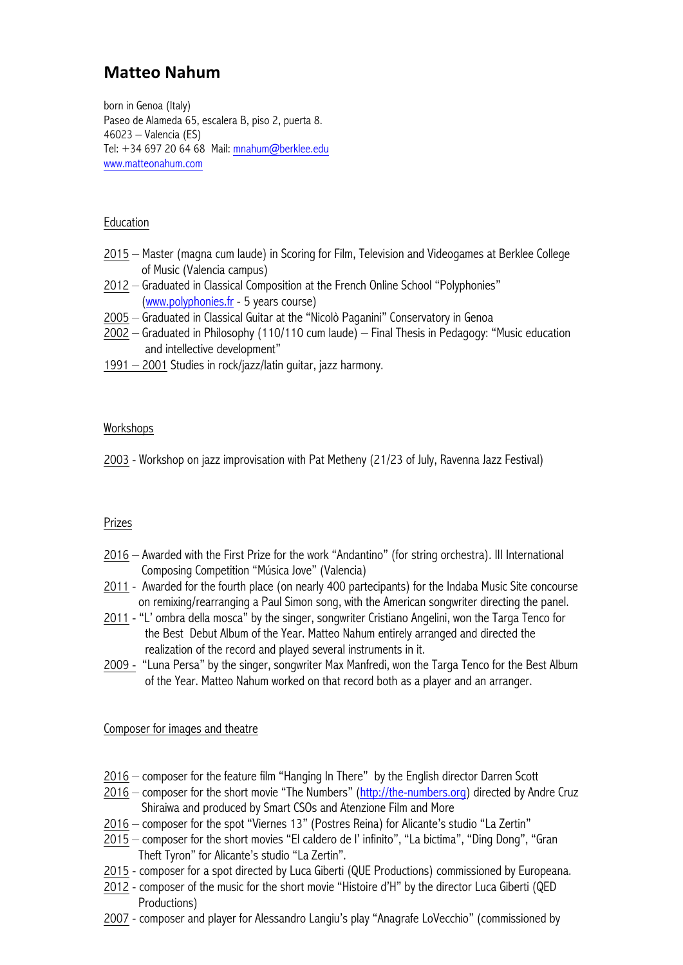# **Matteo Nahum**

born in Genoa (Italy) Paseo de Alameda 65, escalera B, piso 2, puerta 8. 46023 – Valencia (ES) Tel: +34 697 20 64 68 Mail: mnahum@berklee.edu www.matteonahum.com

## Education

- 2015 Master (magna cum laude) in Scoring for Film, Television and Videogames at Berklee College of Music (Valencia campus)
- 2012 Graduated in Classical Composition at the French Online School "Polyphonies" (www.polyphonies.fr - 5 years course)
- 2005 Graduated in Classical Guitar at the "Nicolò Paganini" Conservatory in Genoa
- 2002 Graduated in Philosophy (110/110 cum laude) Final Thesis in Pedagogy: "Music education and intellective development"
- 1991 2001 Studies in rock/jazz/latin guitar, jazz harmony.

## Workshops

2003 - Workshop on jazz improvisation with Pat Metheny (21/23 of July, Ravenna Jazz Festival)

## Prizes

- 2016 Awarded with the First Prize for the work "Andantino" (for string orchestra). III International Composing Competition "Música Jove" (Valencia)
- 2011 Awarded for the fourth place (on nearly 400 partecipants) for the Indaba Music Site concourse on remixing/rearranging a Paul Simon song, with the American songwriter directing the panel.
- 2011 "L' ombra della mosca" by the singer, songwriter Cristiano Angelini, won the Targa Tenco for the Best Debut Album of the Year. Matteo Nahum entirely arranged and directed the realization of the record and played several instruments in it.
- 2009 "Luna Persa" by the singer, songwriter Max Manfredi, won the Targa Tenco for the Best Album of the Year. Matteo Nahum worked on that record both as a player and an arranger.

## Composer for images and theatre

- 2016 composer for the feature film "Hanging In There" by the English director Darren Scott
- 2016 composer for the short movie "The Numbers" (http://the-numbers.org) directed by Andre Cruz Shiraiwa and produced by Smart CSOs and Atenzione Film and More
- 2016 composer for the spot "Viernes 13" (Postres Reina) for Alicante's studio "La Zertin"
- 2015 composer for the short movies "El caldero de l' infinito", "La bictima", "Ding Dong", "Gran Theft Tyron" for Alicante's studio "La Zertin".
- 2015 composer for a spot directed by Luca Giberti (QUE Productions) commissioned by Europeana.
- 2012 composer of the music for the short movie "Histoire d'H" by the director Luca Giberti (QED Productions)
- 2007 composer and player for Alessandro Langiu's play "Anagrafe LoVecchio" (commissioned by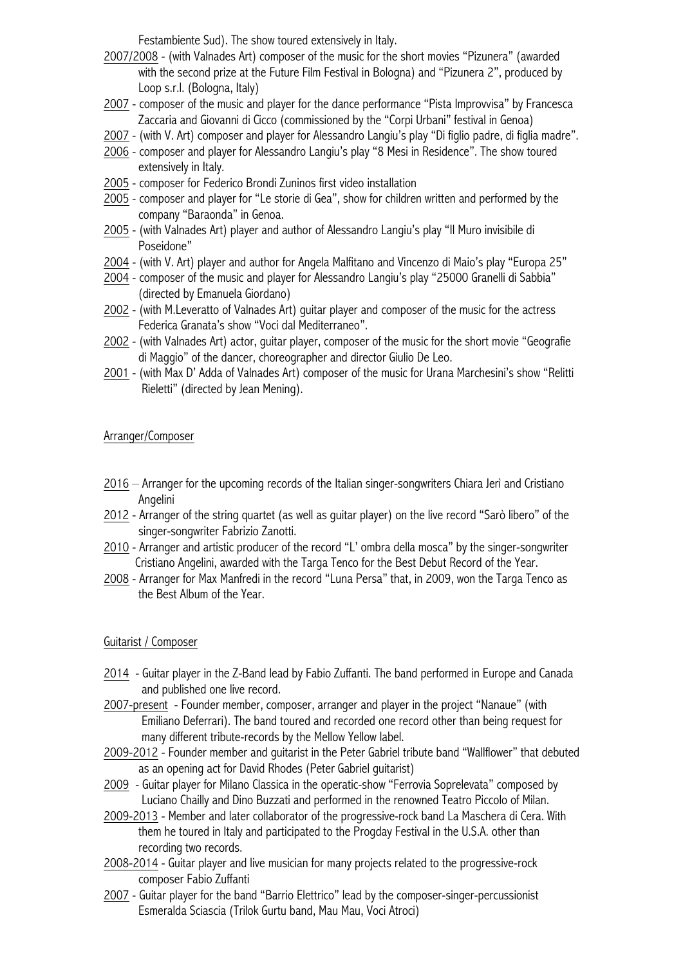Festambiente Sud). The show toured extensively in Italy.

- 2007/2008 (with Valnades Art) composer of the music for the short movies "Pizunera" (awarded with the second prize at the Future Film Festival in Bologna) and "Pizunera 2", produced by Loop s.r.l. (Bologna, Italy)
- 2007 composer of the music and player for the dance performance "Pista Improvvisa" by Francesca Zaccaria and Giovanni di Cicco (commissioned by the "Corpi Urbani" festival in Genoa)
- 2007 (with V. Art) composer and player for Alessandro Langiu's play "Di figlio padre, di figlia madre".
- 2006 composer and player for Alessandro Langiu's play "8 Mesi in Residence". The show toured extensively in Italy.
- 2005 composer for Federico Brondi Zuninos first video installation
- 2005 composer and player for "Le storie di Gea", show for children written and performed by the company "Baraonda" in Genoa.
- 2005 (with Valnades Art) player and author of Alessandro Langiu's play "Il Muro invisibile di Poseidone"
- 2004 (with V. Art) player and author for Angela Malfitano and Vincenzo di Maio's play "Europa 25"
- 2004 composer of the music and player for Alessandro Langiu's play "25000 Granelli di Sabbia" (directed by Emanuela Giordano)
- 2002 (with M.Leveratto of Valnades Art) guitar player and composer of the music for the actress Federica Granata's show "Voci dal Mediterraneo".
- 2002 (with Valnades Art) actor, guitar player, composer of the music for the short movie "Geografie di Maggio" of the dancer, choreographer and director Giulio De Leo.
- 2001 (with Max D' Adda of Valnades Art) composer of the music for Urana Marchesini's show "Relitti Rieletti" (directed by Jean Mening).

## Arranger/Composer

- 2016 Arranger for the upcoming records of the Italian singer-songwriters Chiara Jerì and Cristiano Angelini
- 2012 Arranger of the string quartet (as well as guitar player) on the live record "Sarò libero" of the singer-songwriter Fabrizio Zanotti.
- 2010 Arranger and artistic producer of the record "L' ombra della mosca" by the singer-songwriter Cristiano Angelini, awarded with the Targa Tenco for the Best Debut Record of the Year.
- 2008 Arranger for Max Manfredi in the record "Luna Persa" that, in 2009, won the Targa Tenco as the Best Album of the Year.

## Guitarist / Composer

- 2014 Guitar player in the Z-Band lead by Fabio Zuffanti. The band performed in Europe and Canada and published one live record.
- 2007-present Founder member, composer, arranger and player in the project "Nanaue" (with Emiliano Deferrari). The band toured and recorded one record other than being request for many different tribute-records by the Mellow Yellow label.
- 2009-2012 Founder member and guitarist in the Peter Gabriel tribute band "Wallflower" that debuted as an opening act for David Rhodes (Peter Gabriel guitarist)
- 2009 Guitar player for Milano Classica in the operatic-show "Ferrovia Soprelevata" composed by Luciano Chailly and Dino Buzzati and performed in the renowned Teatro Piccolo of Milan.
- 2009-2013 Member and later collaborator of the progressive-rock band La Maschera di Cera. With them he toured in Italy and participated to the Progday Festival in the U.S.A. other than recording two records.
- 2008-2014 Guitar player and live musician for many projects related to the progressive-rock composer Fabio Zuffanti
- 2007 Guitar player for the band "Barrio Elettrico" lead by the composer-singer-percussionist Esmeralda Sciascia (Trilok Gurtu band, Mau Mau, Voci Atroci)